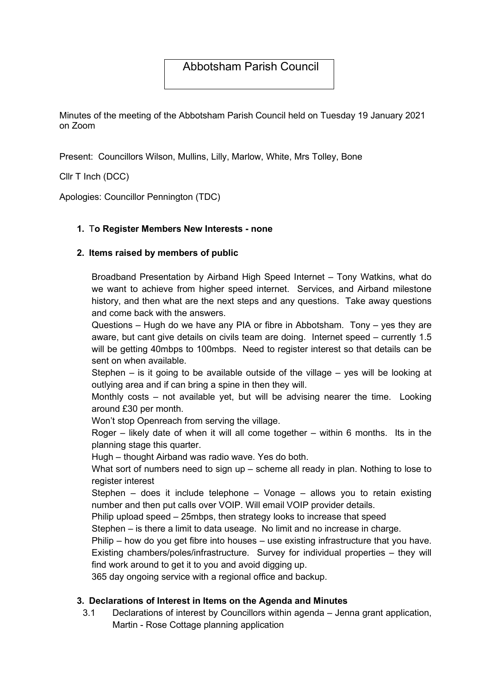# Abbotsham Parish Council

Minutes of the meeting of the Abbotsham Parish Council held on Tuesday 19 January 2021 on Zoom

Present: Councillors Wilson, Mullins, Lilly, Marlow, White, Mrs Tolley, Bone

Cllr T Inch (DCC)

Apologies: Councillor Pennington (TDC)

### 1. To Register Members New Interests - none

### 2. Items raised by members of public

Broadband Presentation by Airband High Speed Internet – Tony Watkins, what do we want to achieve from higher speed internet. Services, and Airband milestone history, and then what are the next steps and any questions. Take away questions and come back with the answers.

Questions – Hugh do we have any PIA or fibre in Abbotsham. Tony – yes they are aware, but cant give details on civils team are doing. Internet speed – currently 1.5 will be getting 40mbps to 100mbps. Need to register interest so that details can be sent on when available.

Stephen  $-$  is it going to be available outside of the village  $-$  yes will be looking at outlying area and if can bring a spine in then they will.

Monthly costs – not available yet, but will be advising nearer the time. Looking around £30 per month.

Won't stop Openreach from serving the village.

Roger – likely date of when it will all come together – within 6 months. Its in the planning stage this quarter.

Hugh – thought Airband was radio wave. Yes do both.

What sort of numbers need to sign up – scheme all ready in plan. Nothing to lose to register interest

Stephen – does it include telephone – Vonage – allows you to retain existing number and then put calls over VOIP. Will email VOIP provider details.

Philip upload speed – 25mbps, then strategy looks to increase that speed

Stephen – is there a limit to data useage. No limit and no increase in charge.

Philip – how do you get fibre into houses – use existing infrastructure that you have.

Existing chambers/poles/infrastructure. Survey for individual properties – they will find work around to get it to you and avoid digging up.

365 day ongoing service with a regional office and backup.

## 3. Declarations of Interest in Items on the Agenda and Minutes

3.1 Declarations of interest by Councillors within agenda – Jenna grant application, Martin - Rose Cottage planning application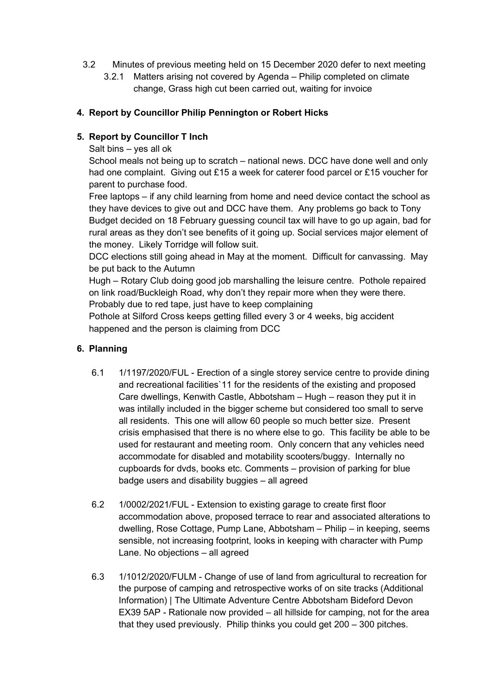- 3.2 Minutes of previous meeting held on 15 December 2020 defer to next meeting
	- 3.2.1 Matters arising not covered by Agenda Philip completed on climate change, Grass high cut been carried out, waiting for invoice

### 4. Report by Councillor Philip Pennington or Robert Hicks

### 5. Report by Councillor T Inch

Salt bins – yes all ok

School meals not being up to scratch – national news. DCC have done well and only had one complaint. Giving out £15 a week for caterer food parcel or £15 voucher for parent to purchase food.

Free laptops – if any child learning from home and need device contact the school as they have devices to give out and DCC have them. Any problems go back to Tony Budget decided on 18 February guessing council tax will have to go up again, bad for rural areas as they don't see benefits of it going up. Social services major element of the money. Likely Torridge will follow suit.

DCC elections still going ahead in May at the moment. Difficult for canvassing. May be put back to the Autumn

Hugh – Rotary Club doing good job marshalling the leisure centre. Pothole repaired on link road/Buckleigh Road, why don't they repair more when they were there. Probably due to red tape, just have to keep complaining

Pothole at Silford Cross keeps getting filled every 3 or 4 weeks, big accident happened and the person is claiming from DCC

#### 6. Planning

- 6.1 1/1197/2020/FUL Erection of a single storey service centre to provide dining and recreational facilities`11 for the residents of the existing and proposed Care dwellings, Kenwith Castle, Abbotsham – Hugh – reason they put it in was intilally included in the bigger scheme but considered too small to serve all residents. This one will allow 60 people so much better size. Present crisis emphasised that there is no where else to go. This facility be able to be used for restaurant and meeting room. Only concern that any vehicles need accommodate for disabled and motability scooters/buggy. Internally no cupboards for dvds, books etc. Comments – provision of parking for blue badge users and disability buggies – all agreed
- 6.2 1/0002/2021/FUL Extension to existing garage to create first floor accommodation above, proposed terrace to rear and associated alterations to dwelling, Rose Cottage, Pump Lane, Abbotsham – Philip – in keeping, seems sensible, not increasing footprint, looks in keeping with character with Pump Lane. No objections – all agreed
- 6.3 1/1012/2020/FULM Change of use of land from agricultural to recreation for the purpose of camping and retrospective works of on site tracks (Additional Information) | The Ultimate Adventure Centre Abbotsham Bideford Devon EX39 5AP - Rationale now provided – all hillside for camping, not for the area that they used previously. Philip thinks you could get 200 – 300 pitches.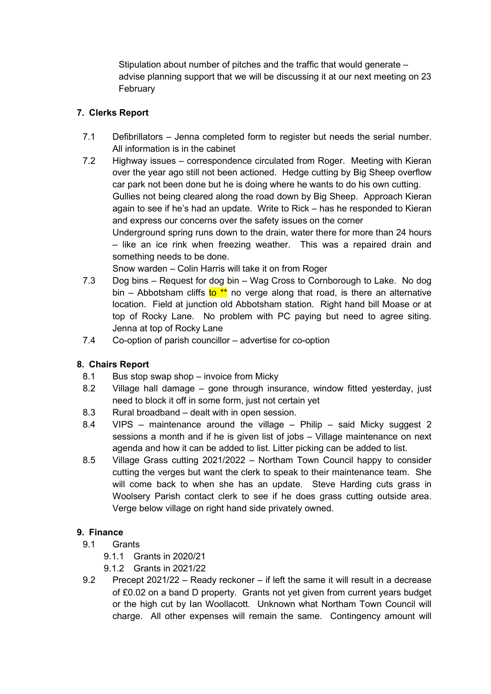Stipulation about number of pitches and the traffic that would generate – advise planning support that we will be discussing it at our next meeting on 23 February

## 7. Clerks Report

- 7.1 Defibrillators Jenna completed form to register but needs the serial number. All information is in the cabinet
- 7.2 Highway issues correspondence circulated from Roger. Meeting with Kieran over the year ago still not been actioned. Hedge cutting by Big Sheep overflow car park not been done but he is doing where he wants to do his own cutting. Gullies not being cleared along the road down by Big Sheep. Approach Kieran again to see if he's had an update. Write to Rick – has he responded to Kieran and express our concerns over the safety issues on the corner Underground spring runs down to the drain, water there for more than 24 hours – like an ice rink when freezing weather. This was a repaired drain and something needs to be done.

Snow warden – Colin Harris will take it on from Roger

- 7.3 Dog bins Request for dog bin Wag Cross to Cornborough to Lake. No dog bin – Abbotsham cliffs to \*\* no verge along that road, is there an alternative location. Field at junction old Abbotsham station. Right hand bill Moase or at top of Rocky Lane. No problem with PC paying but need to agree siting. Jenna at top of Rocky Lane
- 7.4 Co-option of parish councillor advertise for co-option

## 8. Chairs Report

- 8.1 Bus stop swap shop invoice from Micky
- 8.2 Village hall damage gone through insurance, window fitted yesterday, just need to block it off in some form, just not certain yet
- 8.3 Rural broadband dealt with in open session.
- 8.4 VIPS maintenance around the village Philip said Micky suggest 2 sessions a month and if he is given list of jobs – Village maintenance on next agenda and how it can be added to list. Litter picking can be added to list.
- 8.5 Village Grass cutting 2021/2022 Northam Town Council happy to consider cutting the verges but want the clerk to speak to their maintenance team. She will come back to when she has an update. Steve Harding cuts grass in Woolsery Parish contact clerk to see if he does grass cutting outside area. Verge below village on right hand side privately owned.

## 9. Finance

- 9.1 Grants
	- 9.1.1 Grants in 2020/21
	- 9.1.2 Grants in 2021/22
- 9.2 Precept 2021/22 Ready reckoner if left the same it will result in a decrease of £0.02 on a band D property. Grants not yet given from current years budget or the high cut by Ian Woollacott. Unknown what Northam Town Council will charge. All other expenses will remain the same. Contingency amount will